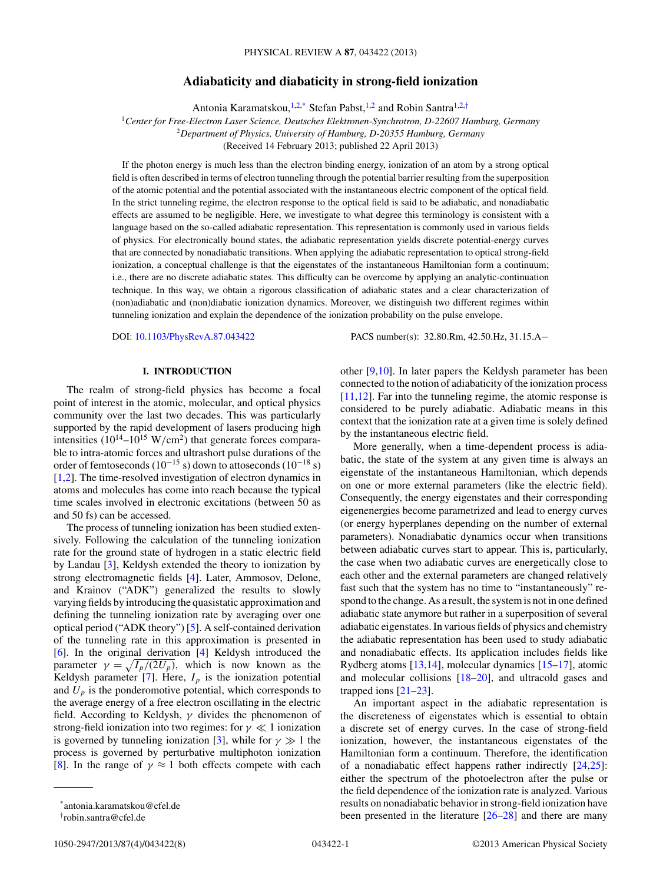# **Adiabaticity and diabaticity in strong-field ionization**

Antonia Karamatskou,<sup>1,2,\*</sup> Stefan Pabst,<sup>1,2</sup> and Robin Santra<sup>1,2,†</sup>

<span id="page-0-0"></span><sup>1</sup>*Center for Free-Electron Laser Science, Deutsches Elektronen-Synchrotron, D-22607 Hamburg, Germany* <sup>2</sup>*Department of Physics, University of Hamburg, D-20355 Hamburg, Germany* (Received 14 February 2013; published 22 April 2013)

If the photon energy is much less than the electron binding energy, ionization of an atom by a strong optical field is often described in terms of electron tunneling through the potential barrier resulting from the superposition of the atomic potential and the potential associated with the instantaneous electric component of the optical field. In the strict tunneling regime, the electron response to the optical field is said to be adiabatic, and nonadiabatic effects are assumed to be negligible. Here, we investigate to what degree this terminology is consistent with a language based on the so-called adiabatic representation. This representation is commonly used in various fields of physics. For electronically bound states, the adiabatic representation yields discrete potential-energy curves that are connected by nonadiabatic transitions. When applying the adiabatic representation to optical strong-field ionization, a conceptual challenge is that the eigenstates of the instantaneous Hamiltonian form a continuum; i.e., there are no discrete adiabatic states. This difficulty can be overcome by applying an analytic-continuation technique. In this way, we obtain a rigorous classification of adiabatic states and a clear characterization of (non)adiabatic and (non)diabatic ionization dynamics. Moreover, we distinguish two different regimes within tunneling ionization and explain the dependence of the ionization probability on the pulse envelope.

DOI: [10.1103/PhysRevA.87.043422](http://dx.doi.org/10.1103/PhysRevA.87.043422) PACS number(s): 32*.*80*.*Rm, 42*.*50*.*Hz, 31*.*15*.*A−

# **I. INTRODUCTION**

The realm of strong-field physics has become a focal point of interest in the atomic, molecular, and optical physics community over the last two decades. This was particularly supported by the rapid development of lasers producing high intensities  $(10^{14}-10^{15} \text{ W/cm}^2)$  that generate forces comparable to intra-atomic forces and ultrashort pulse durations of the order of femtoseconds (10<sup>-15</sup> s) down to attoseconds (10<sup>-18</sup> s) [\[1,2\]](#page-6-0). The time-resolved investigation of electron dynamics in atoms and molecules has come into reach because the typical time scales involved in electronic excitations (between 50 as and 50 fs) can be accessed.

The process of tunneling ionization has been studied extensively. Following the calculation of the tunneling ionization rate for the ground state of hydrogen in a static electric field by Landau [\[3\]](#page-6-0), Keldysh extended the theory to ionization by strong electromagnetic fields [\[4\]](#page-6-0). Later, Ammosov, Delone, and Krainov ("ADK") generalized the results to slowly varying fields by introducing the quasistatic approximation and defining the tunneling ionization rate by averaging over one optical period ("ADK theory") [\[5\]](#page-6-0). A self-contained derivation of the tunneling rate in this approximation is presented in [\[6\]](#page-6-0). In the original derivation [\[4\]](#page-6-0) Keldysh introduced the parameter  $\gamma = \sqrt{I_p/(2U_p)}$ , which is now known as the Keldysh parameter  $[7]$ . Here,  $I_p$  is the ionization potential and  $U_p$  is the ponderomotive potential, which corresponds to the average energy of a free electron oscillating in the electric field. According to Keldysh, *γ* divides the phenomenon of strong-field ionization into two regimes: for *γ* ≪ 1 ionization is governed by tunneling ionization [\[3\]](#page-6-0), while for  $\gamma \gg 1$  the process is governed by perturbative multiphoton ionization [\[8\]](#page-6-0). In the range of  $\gamma \approx 1$  both effects compete with each

other [\[9,10\]](#page-6-0). In later papers the Keldysh parameter has been connected to the notion of adiabaticity of the ionization process [\[11,12\]](#page-6-0). Far into the tunneling regime, the atomic response is considered to be purely adiabatic. Adiabatic means in this context that the ionization rate at a given time is solely defined by the instantaneous electric field.

More generally, when a time-dependent process is adiabatic, the state of the system at any given time is always an eigenstate of the instantaneous Hamiltonian, which depends on one or more external parameters (like the electric field). Consequently, the energy eigenstates and their corresponding eigenenergies become parametrized and lead to energy curves (or energy hyperplanes depending on the number of external parameters). Nonadiabatic dynamics occur when transitions between adiabatic curves start to appear. This is, particularly, the case when two adiabatic curves are energetically close to each other and the external parameters are changed relatively fast such that the system has no time to "instantaneously" respond to the change. As a result, the system is not in one defined adiabatic state anymore but rather in a superposition of several adiabatic eigenstates. In various fields of physics and chemistry the adiabatic representation has been used to study adiabatic and nonadiabatic effects. Its application includes fields like Rydberg atoms [\[13,14\]](#page-6-0), molecular dynamics [\[15–17\]](#page-6-0), atomic and molecular collisions [\[18–20\]](#page-6-0), and ultracold gases and trapped ions [\[21–23\]](#page-6-0).

An important aspect in the adiabatic representation is the discreteness of eigenstates which is essential to obtain a discrete set of energy curves. In the case of strong-field ionization, however, the instantaneous eigenstates of the Hamiltonian form a continuum. Therefore, the identification of a nonadiabatic effect happens rather indirectly [\[24,25\]](#page-6-0): either the spectrum of the photoelectron after the pulse or the field dependence of the ionization rate is analyzed. Various results on nonadiabatic behavior in strong-field ionization have been presented in the literature [\[26–28\]](#page-6-0) and there are many

<sup>\*</sup>antonia.karamatskou@cfel.de

<sup>†</sup> robin.santra@cfel.de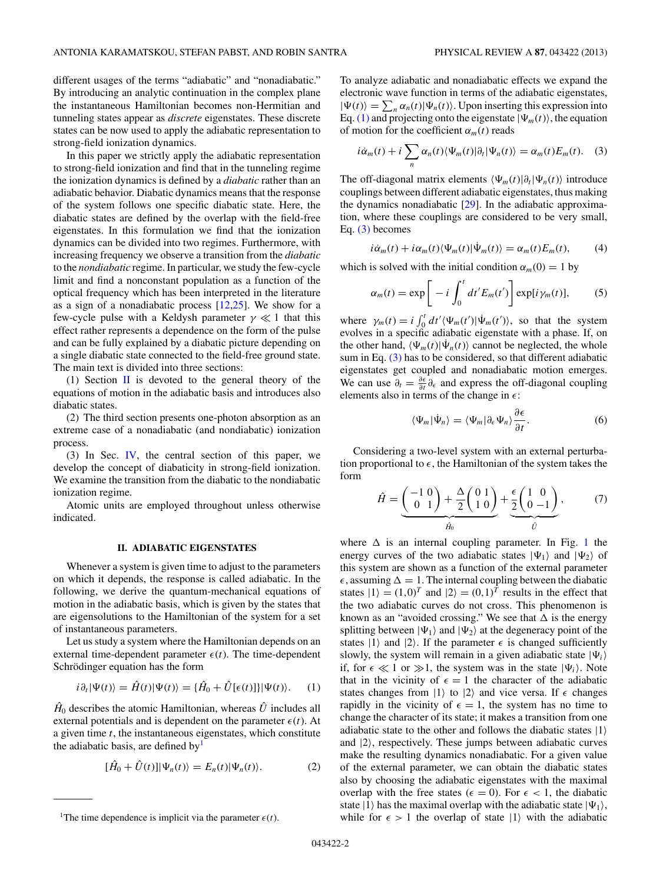<span id="page-1-0"></span>different usages of the terms "adiabatic" and "nonadiabatic." By introducing an analytic continuation in the complex plane the instantaneous Hamiltonian becomes non-Hermitian and tunneling states appear as *discrete* eigenstates. These discrete states can be now used to apply the adiabatic representation to strong-field ionization dynamics.

In this paper we strictly apply the adiabatic representation to strong-field ionization and find that in the tunneling regime the ionization dynamics is defined by a *diabatic* rather than an adiabatic behavior. Diabatic dynamics means that the response of the system follows one specific diabatic state. Here, the diabatic states are defined by the overlap with the field-free eigenstates. In this formulation we find that the ionization dynamics can be divided into two regimes. Furthermore, with increasing frequency we observe a transition from the *diabatic* to the *nondiabatic* regime. In particular, we study the few-cycle limit and find a nonconstant population as a function of the optical frequency which has been interpreted in the literature as a sign of a nonadiabatic process [\[12,25\]](#page-6-0). We show for a few-cycle pulse with a Keldysh parameter  $\gamma \ll 1$  that this effect rather represents a dependence on the form of the pulse and can be fully explained by a diabatic picture depending on a single diabatic state connected to the field-free ground state. The main text is divided into three sections:

(1) Section  $\overline{II}$  is devoted to the general theory of the equations of motion in the adiabatic basis and introduces also diabatic states.

(2) The third section presents one-photon absorption as an extreme case of a nonadiabatic (and nondiabatic) ionization process.

(3) In Sec. [IV,](#page-2-0) the central section of this paper, we develop the concept of diabaticity in strong-field ionization. We examine the transition from the diabatic to the nondiabatic ionization regime.

Atomic units are employed throughout unless otherwise indicated.

#### **II. ADIABATIC EIGENSTATES**

Whenever a system is given time to adjust to the parameters on which it depends, the response is called adiabatic. In the following, we derive the quantum-mechanical equations of motion in the adiabatic basis, which is given by the states that are eigensolutions to the Hamiltonian of the system for a set of instantaneous parameters.

Let us study a system where the Hamiltonian depends on an external time-dependent parameter  $\epsilon(t)$ . The time-dependent Schrödinger equation has the form

$$
i\partial_t|\Psi(t)\rangle = \hat{H}(t)|\Psi(t)\rangle = \{\hat{H}_0 + \hat{U}[\epsilon(t)]\}|\Psi(t)\rangle.
$$
 (1)

 $\hat{H}_0$  describes the atomic Hamiltonian, whereas  $\hat{U}$  includes all external potentials and is dependent on the parameter  $\epsilon(t)$ . At a given time *t*, the instantaneous eigenstates, which constitute the adiabatic basis, are defined by  $\mathbf{I}$ 

$$
[\hat{H}_0 + \hat{U}(t)] |\Psi_n(t)\rangle = E_n(t) |\Psi_n(t)\rangle.
$$
 (2)

To analyze adiabatic and nonadiabatic effects we expand the electronic wave function in terms of the adiabatic eigenstates,  $|\Psi(t)\rangle = \sum_{n} \alpha_n(t) |\Psi_n(t)\rangle$ . Upon inserting this expression into Eq. (1) and projecting onto the eigenstate  $|\Psi_m(t)\rangle$ , the equation of motion for the coefficient  $\alpha_m(t)$  reads

$$
i\dot{\alpha}_m(t) + i \sum_n \alpha_n(t) \langle \Psi_m(t) | \partial_t | \Psi_n(t) \rangle = \alpha_m(t) E_m(t). \quad (3)
$$

The off-diagonal matrix elements  $\langle \Psi_m(t) | \partial_t | \Psi_n(t) \rangle$  introduce couplings between different adiabatic eigenstates, thus making the dynamics nonadiabatic [\[29\]](#page-6-0). In the adiabatic approximation, where these couplings are considered to be very small, Eq. (3) becomes

$$
i\dot{\alpha}_m(t) + i\alpha_m(t)\langle\Psi_m(t)|\dot{\Psi}_m(t)\rangle = \alpha_m(t)E_m(t), \qquad (4)
$$

which is solved with the initial condition  $\alpha_m(0) = 1$  by

$$
\alpha_m(t) = \exp\bigg[-i\int_0^t dt' E_m(t')\bigg]\exp[i\gamma_m(t)],\qquad(5)
$$

where  $\gamma_m(t) = i \int_0^t dt' \langle \Psi_m(t') | \dot{\Psi}_m(t') \rangle$ , so that the system evolves in a specific adiabatic eigenstate with a phase. If, on the other hand,  $\langle \Psi_m(t) | \dot{\Psi}_n(t) \rangle$  cannot be neglected, the whole sum in Eq. (3) has to be considered, so that different adiabatic eigenstates get coupled and nonadiabatic motion emerges. We can use  $\partial_t = \frac{\partial \epsilon}{\partial t} \partial_{\epsilon}$  and express the off-diagonal coupling elements also in terms of the change in  $\epsilon$ :

$$
\langle \Psi_m | \dot{\Psi}_n \rangle = \langle \Psi_m | \partial_{\epsilon} \Psi_n \rangle \frac{\partial \epsilon}{\partial t}.
$$
 (6)

Considering a two-level system with an external perturbation proportional to  $\epsilon$ , the Hamiltonian of the system takes the form

$$
\hat{H} = \underbrace{\begin{pmatrix} -1 & 0 \\ 0 & 1 \end{pmatrix} + \frac{\Delta}{2} \begin{pmatrix} 0 & 1 \\ 1 & 0 \end{pmatrix}}_{\hat{H}_0} + \underbrace{\frac{\epsilon}{2} \begin{pmatrix} 1 & 0 \\ 0 & -1 \end{pmatrix}}_{\hat{U}},
$$
(7)

where  $\Delta$  is an internal coupling parameter. In Fig. [1](#page-2-0) the energy curves of the two adiabatic states  $|\Psi_1\rangle$  and  $|\Psi_2\rangle$  of this system are shown as a function of the external parameter  $\epsilon$ , assuming  $\Delta = 1$ . The internal coupling between the diabatic states  $|1\rangle = (1,0)^T$  and  $|2\rangle = (0,1)^T$  results in the effect that the two adiabatic curves do not cross. This phenomenon is known as an "avoided crossing." We see that  $\Delta$  is the energy splitting between  $|\Psi_1\rangle$  and  $|\Psi_2\rangle$  at the degeneracy point of the states  $|1\rangle$  and  $|2\rangle$ . If the parameter  $\epsilon$  is changed sufficiently slowly, the system will remain in a given adiabatic state  $|\Psi_i\rangle$ if, for  $\epsilon \ll 1$  or  $\gg 1$ , the system was in the state  $|\Psi_i\rangle$ . Note that in the vicinity of  $\epsilon = 1$  the character of the adiabatic states changes from  $|1\rangle$  to  $|2\rangle$  and vice versa. If  $\epsilon$  changes rapidly in the vicinity of  $\epsilon = 1$ , the system has no time to change the character of its state; it makes a transition from one adiabatic state to the other and follows the diabatic states  $|1\rangle$ and  $|2\rangle$ , respectively. These jumps between adiabatic curves make the resulting dynamics nonadiabatic. For a given value of the external parameter, we can obtain the diabatic states also by choosing the adiabatic eigenstates with the maximal overlap with the free states ( $\epsilon = 0$ ). For  $\epsilon < 1$ , the diabatic state  $|1\rangle$  has the maximal overlap with the adiabatic state  $|\Psi_1\rangle$ , while for  $\epsilon > 1$  the overlap of state  $|1\rangle$  with the adiabatic

<sup>&</sup>lt;sup>1</sup>The time dependence is implicit via the parameter  $\epsilon(t)$ .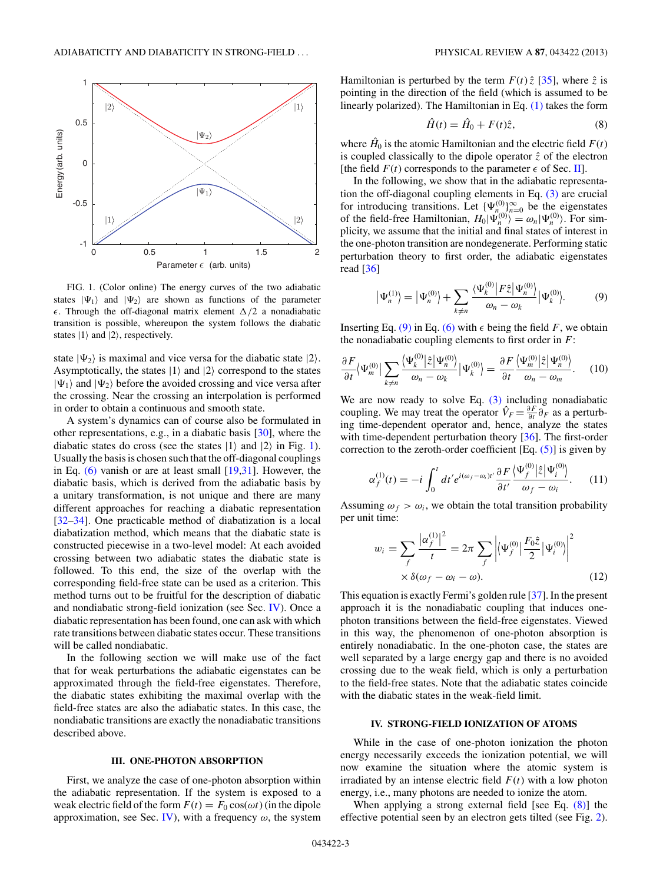<span id="page-2-0"></span>

FIG. 1. (Color online) The energy curves of the two adiabatic states  $|\Psi_1\rangle$  and  $|\Psi_2\rangle$  are shown as functions of the parameter  $\epsilon$ . Through the off-diagonal matrix element  $\Delta/2$  a nonadiabatic transition is possible, whereupon the system follows the diabatic states  $|1\rangle$  and  $|2\rangle$ , respectively.

state  $|\Psi_2\rangle$  is maximal and vice versa for the diabatic state  $|2\rangle$ . Asymptotically, the states  $|1\rangle$  and  $|2\rangle$  correspond to the states  $|\Psi_1\rangle$  and  $|\Psi_2\rangle$  before the avoided crossing and vice versa after the crossing. Near the crossing an interpolation is performed in order to obtain a continuous and smooth state.

A system's dynamics can of course also be formulated in other representations, e.g., in a diabatic basis [\[30\]](#page-6-0), where the diabatic states do cross (see the states  $|1\rangle$  and  $|2\rangle$  in Fig. 1). Usually the basis is chosen such that the off-diagonal couplings in Eq. [\(6\)](#page-1-0) vanish or are at least small [\[19,31\]](#page-6-0). However, the diabatic basis, which is derived from the adiabatic basis by a unitary transformation, is not unique and there are many different approaches for reaching a diabatic representation [\[32](#page-6-0)[–34\]](#page-7-0). One practicable method of diabatization is a local diabatization method, which means that the diabatic state is constructed piecewise in a two-level model: At each avoided crossing between two adiabatic states the diabatic state is followed. To this end, the size of the overlap with the corresponding field-free state can be used as a criterion. This method turns out to be fruitful for the description of diabatic and nondiabatic strong-field ionization (see Sec. IV). Once a diabatic representation has been found, one can ask with which rate transitions between diabatic states occur. These transitions will be called nondiabatic.

In the following section we will make use of the fact that for weak perturbations the adiabatic eigenstates can be approximated through the field-free eigenstates. Therefore, the diabatic states exhibiting the maximal overlap with the field-free states are also the adiabatic states. In this case, the nondiabatic transitions are exactly the nonadiabatic transitions described above.

#### **III. ONE-PHOTON ABSORPTION**

First, we analyze the case of one-photon absorption within the adiabatic representation. If the system is exposed to a weak electric field of the form  $F(t) = F_0 \cos(\omega t)$  (in the dipole approximation, see Sec. IV), with a frequency  $\omega$ , the system Hamiltonian is perturbed by the term  $F(t) \hat{z}$  [\[35\]](#page-7-0), where  $\hat{z}$  is pointing in the direction of the field (which is assumed to be linearly polarized). The Hamiltonian in Eq. [\(1\)](#page-1-0) takes the form

$$
\hat{H}(t) = \hat{H}_0 + F(t)\hat{z},\tag{8}
$$

where  $\hat{H}_0$  is the atomic Hamiltonian and the electric field  $F(t)$ is coupled classically to the dipole operator  $\hat{z}$  of the electron [the field  $F(t)$  corresponds to the parameter  $\epsilon$  of Sec. [II\]](#page-1-0).

In the following, we show that in the adiabatic representation the off-diagonal coupling elements in Eq. [\(3\)](#page-1-0) are crucial for introducing transitions. Let  $\{\Psi_{n_{\infty}}^{(0)}\}_{n=0}^{\infty}$  be the eigenstates of the field-free Hamiltonian,  $H_0|\Psi_n^{(0)}\rangle = \omega_n|\Psi_n^{(0)}\rangle$ . For simplicity, we assume that the initial and final states of interest in the one-photon transition are nondegenerate. Performing static perturbation theory to first order, the adiabatic eigenstates read [\[36\]](#page-7-0)

$$
\left|\Psi_n^{(1)}\right\rangle = \left|\Psi_n^{(0)}\right\rangle + \sum_{k \neq n} \frac{\langle \Psi_k^{(0)} \left| F\hat{z} \right| \Psi_n^{(0)} \rangle}{\omega_n - \omega_k} \left|\Psi_k^{(0)}\right\rangle. \tag{9}
$$

Inserting Eq. (9) in Eq. [\(6\)](#page-1-0) with  $\epsilon$  being the field *F*, we obtain the nonadiabatic coupling elements to first order in *F*:

$$
\frac{\partial F}{\partial t} \langle \Psi_m^{(0)} | \sum_{k \neq n} \frac{\langle \Psi_k^{(0)} | \hat{z} | \Psi_n^{(0)} \rangle}{\omega_n - \omega_k} | \Psi_k^{(0)} \rangle = \frac{\partial F}{\partial t} \frac{\langle \Psi_m^{(0)} | \hat{z} | \Psi_n^{(0)} \rangle}{\omega_n - \omega_m}.
$$
 (10)

We are now ready to solve Eq.  $(3)$  including nonadiabatic coupling. We may treat the operator  $\hat{V}_F = \frac{\partial F}{\partial t} \hat{\partial}_F$  as a perturbing time-dependent operator and, hence, analyze the states with time-dependent perturbation theory [\[36\]](#page-7-0). The first-order correction to the zeroth-order coefficient  $[Eq. (5)]$  $[Eq. (5)]$  is given by

$$
\alpha_f^{(1)}(t) = -i \int_0^t dt' e^{i(\omega_f - \omega_i)t'} \frac{\partial F}{\partial t'} \frac{\langle \Psi_f^{(0)} | \hat{z} | \Psi_i^{(0)} \rangle}{\omega_f - \omega_i}.
$$
 (11)

Assuming  $\omega_f > \omega_i$ , we obtain the total transition probability per unit time:

$$
w_i = \sum_f \frac{|\alpha_f^{(1)}|^2}{t} = 2\pi \sum_f \left| \langle \Psi_f^{(0)} | \frac{F_0 \hat{z}}{2} | \Psi_i^{(0)} \rangle \right|^2
$$
  
 
$$
\times \delta(\omega_f - \omega_i - \omega). \tag{12}
$$

This equation is exactly Fermi's golden rule [\[37\]](#page-7-0). In the present approach it is the nonadiabatic coupling that induces onephoton transitions between the field-free eigenstates. Viewed in this way, the phenomenon of one-photon absorption is entirely nonadiabatic. In the one-photon case, the states are well separated by a large energy gap and there is no avoided crossing due to the weak field, which is only a perturbation to the field-free states. Note that the adiabatic states coincide with the diabatic states in the weak-field limit.

#### **IV. STRONG-FIELD IONIZATION OF ATOMS**

While in the case of one-photon ionization the photon energy necessarily exceeds the ionization potential, we will now examine the situation where the atomic system is irradiated by an intense electric field  $F(t)$  with a low photon energy, i.e., many photons are needed to ionize the atom.

When applying a strong external field [see Eq. (8)] the effective potential seen by an electron gets tilted (see Fig. [2\)](#page-3-0).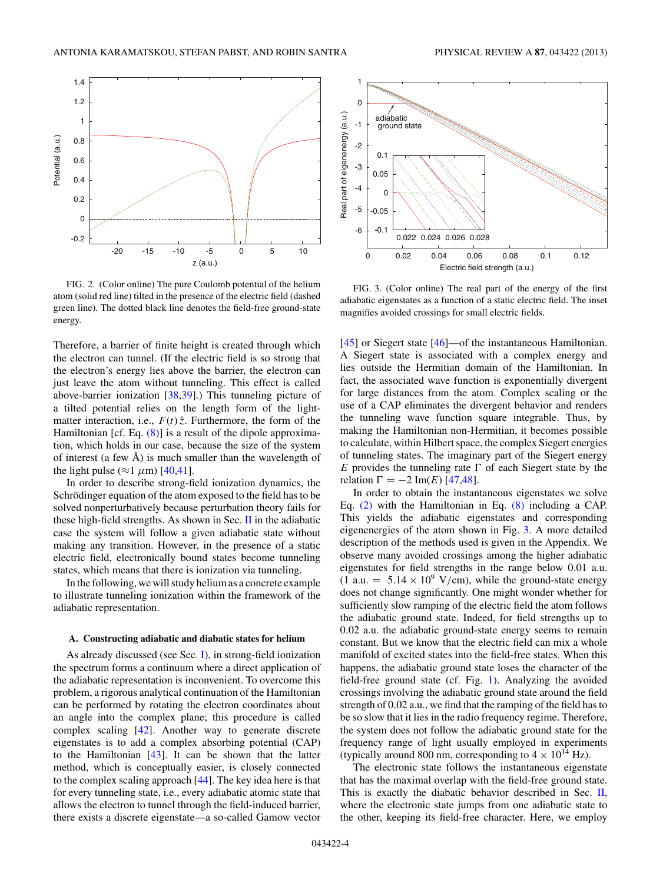<span id="page-3-0"></span>

FIG. 2. (Color online) The pure Coulomb potential of the helium atom (solid red line) tilted in the presence of the electric field (dashed green line). The dotted black line denotes the field-free ground-state energy.

Therefore, a barrier of finite height is created through which the electron can tunnel. (If the electric field is so strong that the electron's energy lies above the barrier, the electron can just leave the atom without tunneling. This effect is called above-barrier ionization [\[38,39\]](#page-7-0).) This tunneling picture of a tilted potential relies on the length form of the lightmatter interaction, i.e.,  $F(t) \hat{z}$ . Furthermore, the form of the Hamiltonian [cf. Eq.  $(8)$ ] is a result of the dipole approximation, which holds in our case, because the size of the system of interest (a few  $\AA$ ) is much smaller than the wavelength of the light pulse ( $\approx$ 1  $\mu$ m) [\[40,41\]](#page-7-0).

In order to describe strong-field ionization dynamics, the Schrödinger equation of the atom exposed to the field has to be solved nonperturbatively because perturbation theory fails for these high-field strengths. As shown in Sec.  $\mathbf{II}$  $\mathbf{II}$  $\mathbf{II}$  in the adiabatic case the system will follow a given adiabatic state without making any transition. However, in the presence of a static electric field, electronically bound states become tunneling states, which means that there is ionization via tunneling.

In the following, we will study helium as a concrete example to illustrate tunneling ionization within the framework of the adiabatic representation.

# **A. Constructing adiabatic and diabatic states for helium**

As already discussed (see Sec. [I\)](#page-0-0), in strong-field ionization the spectrum forms a continuum where a direct application of the adiabatic representation is inconvenient. To overcome this problem, a rigorous analytical continuation of the Hamiltonian can be performed by rotating the electron coordinates about an angle into the complex plane; this procedure is called complex scaling [\[42\]](#page-7-0). Another way to generate discrete eigenstates is to add a complex absorbing potential (CAP) to the Hamiltonian [\[43\]](#page-7-0). It can be shown that the latter method, which is conceptually easier, is closely connected to the complex scaling approach [\[44\]](#page-7-0). The key idea here is that for every tunneling state, i.e., every adiabatic atomic state that allows the electron to tunnel through the field-induced barrier, there exists a discrete eigenstate—a so-called Gamow vector



FIG. 3. (Color online) The real part of the energy of the first adiabatic eigenstates as a function of a static electric field. The inset magnifies avoided crossings for small electric fields.

[\[45\]](#page-7-0) or Siegert state [\[46\]](#page-7-0)—of the instantaneous Hamiltonian. A Siegert state is associated with a complex energy and lies outside the Hermitian domain of the Hamiltonian. In fact, the associated wave function is exponentially divergent for large distances from the atom. Complex scaling or the use of a CAP eliminates the divergent behavior and renders the tunneling wave function square integrable. Thus, by making the Hamiltonian non-Hermitian, it becomes possible to calculate, within Hilbert space, the complex Siegert energies of tunneling states. The imaginary part of the Siegert energy *E* provides the tunneling rate  $\Gamma$  of each Siegert state by the relation  $\Gamma = -2$  Im(*E*) [\[47,48\]](#page-7-0).

In order to obtain the instantaneous eigenstates we solve Eq. [\(2\)](#page-1-0) with the Hamiltonian in Eq. [\(8\)](#page-2-0) including a CAP. This yields the adiabatic eigenstates and corresponding eigenenergies of the atom shown in Fig. 3. A more detailed description of the methods used is given in the Appendix. We observe many avoided crossings among the higher adiabatic eigenstates for field strengths in the range below 0*.*01 a.u.  $(1 \text{ a.u.} = 5.14 \times 10^9 \text{ V/cm})$ , while the ground-state energy does not change significantly. One might wonder whether for sufficiently slow ramping of the electric field the atom follows the adiabatic ground state. Indeed, for field strengths up to 0*.*02 a.u. the adiabatic ground-state energy seems to remain constant. But we know that the electric field can mix a whole manifold of excited states into the field-free states. When this happens, the adiabatic ground state loses the character of the field-free ground state (cf. Fig. [1\)](#page-2-0). Analyzing the avoided crossings involving the adiabatic ground state around the field strength of 0*.*02 a.u., we find that the ramping of the field has to be so slow that it lies in the radio frequency regime. Therefore, the system does not follow the adiabatic ground state for the frequency range of light usually employed in experiments (typically around 800 nm, corresponding to  $4 \times 10^{14}$  Hz).

The electronic state follows the instantaneous eigenstate that has the maximal overlap with the field-free ground state. This is exactly the diabatic behavior described in Sec. [II,](#page-1-0) where the electronic state jumps from one adiabatic state to the other, keeping its field-free character. Here, we employ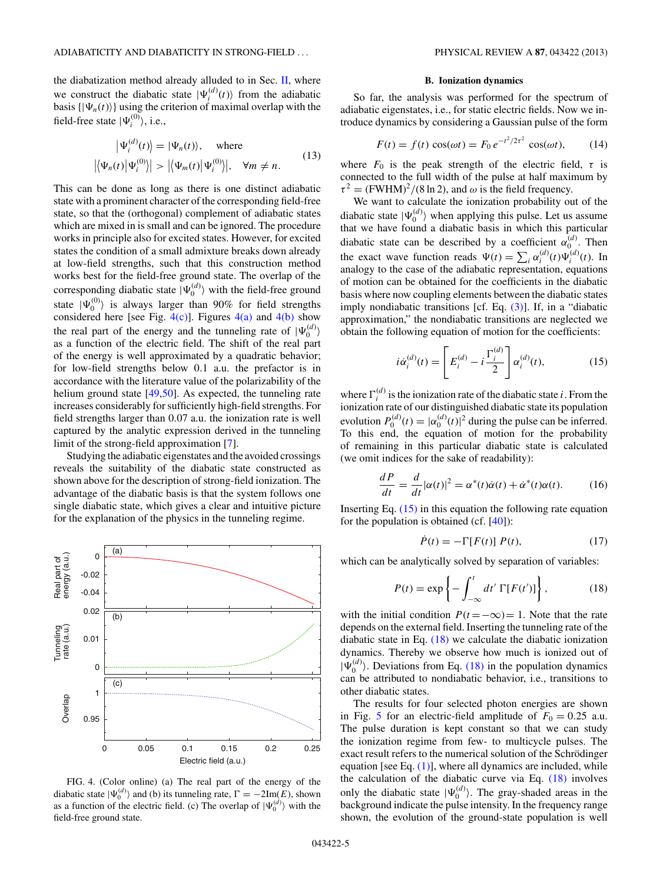<span id="page-4-0"></span>the diabatization method already alluded to in Sec. [II,](#page-1-0) where we construct the diabatic state  $|\Psi_i^{(d)}(t)\rangle$  from the adiabatic basis  $\{|\Psi_n(t)\rangle\}$  using the criterion of maximal overlap with the field-free state  $|\Psi_i^{(0)}\rangle$ , i.e.,

$$
\left|\Psi_i^{(d)}(t)\right\rangle = \left|\Psi_n(t)\right\rangle, \quad \text{where}
$$
  

$$
\left|\left\langle \Psi_n(t) \middle| \Psi_i^{(0)} \right\rangle\right| > \left|\left\langle \Psi_m(t) \middle| \Psi_i^{(0)} \right\rangle\right|, \quad \forall m \neq n.
$$
 (13)

This can be done as long as there is one distinct adiabatic state with a prominent character of the corresponding field-free state, so that the (orthogonal) complement of adiabatic states which are mixed in is small and can be ignored. The procedure works in principle also for excited states. However, for excited states the condition of a small admixture breaks down already at low-field strengths, such that this construction method works best for the field-free ground state. The overlap of the corresponding diabatic state  $|\Psi_0^{(d)}\rangle$  with the field-free ground state  $|\Psi_0^{(0)}\rangle$  is always larger than 90% for field strengths considered here [see Fig.  $4(c)$ ]. Figures  $4(a)$  and  $4(b)$  show the real part of the energy and the tunneling rate of  $|\Psi_0^{(d)}\rangle$ as a function of the electric field. The shift of the real part of the energy is well approximated by a quadratic behavior; for low-field strengths below 0*.*1 a.u. the prefactor is in accordance with the literature value of the polarizability of the helium ground state [\[49,50\]](#page-7-0). As expected, the tunneling rate increases considerably for sufficiently high-field strengths. For field strengths larger than 0*.*07 a.u. the ionization rate is well captured by the analytic expression derived in the tunneling limit of the strong-field approximation [\[7\]](#page-6-0).

Studying the adiabatic eigenstates and the avoided crossings reveals the suitability of the diabatic state constructed as shown above for the description of strong-field ionization. The advantage of the diabatic basis is that the system follows one single diabatic state, which gives a clear and intuitive picture for the explanation of the physics in the tunneling regime.



FIG. 4. (Color online) (a) The real part of the energy of the diabatic state  $|\Psi_0^{(d)}\rangle$  and (b) its tunneling rate,  $\Gamma = -2\text{Im}(E)$ , shown as a function of the electric field. (c) The overlap of  $|\Psi_0^{(d)}\rangle$  with the field-free ground state.

#### **B. Ionization dynamics**

So far, the analysis was performed for the spectrum of adiabatic eigenstates, i.e., for static electric fields. Now we introduce dynamics by considering a Gaussian pulse of the form

$$
F(t) = f(t)\cos(\omega t) = F_0 e^{-t^2/2\tau^2} \cos(\omega t),
$$
 (14)

where  $F_0$  is the peak strength of the electric field,  $\tau$  is connected to the full width of the pulse at half maximum by  $\tau^2 = (FWHM)^2/(8 \ln 2)$ , and  $\omega$  is the field frequency.

We want to calculate the ionization probability out of the diabatic state  $|\Psi_0^{(d)}\rangle$  when applying this pulse. Let us assume that we have found a diabatic basis in which this particular diabatic state can be described by a coefficient  $\alpha_{0}^{(d)}$ . Then the exact wave function reads  $\Psi(t) = \sum_i \alpha_i^{(d)}(t) \Psi_i^{(d)}(t)$ . In analogy to the case of the adiabatic representation, equations of motion can be obtained for the coefficients in the diabatic basis where now coupling elements between the diabatic states imply nondiabatic transitions [cf. Eq. [\(3\)\]](#page-1-0). If, in a "diabatic approximation," the nondiabatic transitions are neglected we obtain the following equation of motion for the coefficients:

$$
i\dot{\alpha}_i^{(d)}(t) = \left[E_i^{(d)} - i\frac{\Gamma_i^{(d)}}{2}\right] \alpha_i^{(d)}(t),\tag{15}
$$

where  $\Gamma_i^{(d)}$  is the ionization rate of the diabatic state *i*. From the ionization rate of our distinguished diabatic state its population evolution  $P_0^{(d)}(t) = |\alpha_0^{(d)}(t)|^2$  during the pulse can be inferred. To this end, the equation of motion for the probability of remaining in this particular diabatic state is calculated (we omit indices for the sake of readability):

$$
\frac{dP}{dt} = \frac{d}{dt} |\alpha(t)|^2 = \alpha^*(t)\dot{\alpha}(t) + \dot{\alpha}^*(t)\alpha(t). \tag{16}
$$

Inserting Eq.  $(15)$  in this equation the following rate equation for the population is obtained (cf.  $[40]$ ):

$$
\dot{P}(t) = -\Gamma[F(t)] P(t), \qquad (17)
$$

which can be analytically solved by separation of variables:

$$
P(t) = \exp\left\{-\int_{-\infty}^{t} dt' \,\Gamma[F(t')] \right\},\qquad(18)
$$

with the initial condition  $P(t = -\infty) = 1$ . Note that the rate depends on the external field. Inserting the tunneling rate of the diabatic state in Eq. (18) we calculate the diabatic ionization dynamics. Thereby we observe how much is ionized out of  $|\Psi_0^{(d)}\rangle$ . Deviations from Eq. (18) in the population dynamics can be attributed to nondiabatic behavior, i.e., transitions to other diabatic states.

The results for four selected photon energies are shown in Fig. [5](#page-5-0) for an electric-field amplitude of  $F_0 = 0.25$  a.u. The pulse duration is kept constant so that we can study the ionization regime from few- to multicycle pulses. The exact result refers to the numerical solution of the Schrödinger equation [see Eq.  $(1)$ ], where all dynamics are included, while the calculation of the diabatic curve via Eq. (18) involves only the diabatic state  $|\Psi_0^{(d)}\rangle$ . The gray-shaded areas in the background indicate the pulse intensity. In the frequency range shown, the evolution of the ground-state population is well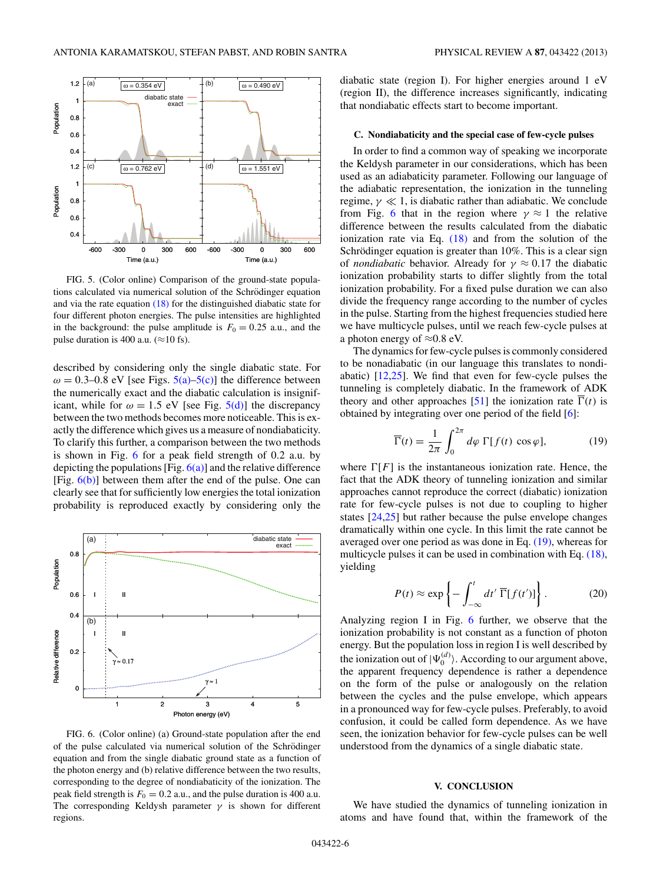<span id="page-5-0"></span>

FIG. 5. (Color online) Comparison of the ground-state populations calculated via numerical solution of the Schrödinger equation and via the rate equation [\(18\)](#page-4-0) for the distinguished diabatic state for four different photon energies. The pulse intensities are highlighted in the background: the pulse amplitude is  $F_0 = 0.25$  a.u., and the pulse duration is 400 a.u. ( $\approx$ 10 fs).

described by considering only the single diabatic state. For  $\omega = 0.3{\text{-}}0.8 \text{ eV}$  [see Figs.  $5(a)$ – $5(c)$ ] the difference between the numerically exact and the diabatic calculation is insignificant, while for  $\omega = 1.5$  eV [see Fig.  $5(d)$ ] the discrepancy between the two methods becomes more noticeable. This is exactly the difference which gives us a measure of nondiabaticity. To clarify this further, a comparison between the two methods is shown in Fig. 6 for a peak field strength of 0*.*2 a.u. by depicting the populations  $[Fig. 6(a)]$  and the relative difference [Fig.  $6(b)$ ] between them after the end of the pulse. One can clearly see that for sufficiently low energies the total ionization probability is reproduced exactly by considering only the



FIG. 6. (Color online) (a) Ground-state population after the end of the pulse calculated via numerical solution of the Schrödinger equation and from the single diabatic ground state as a function of the photon energy and (b) relative difference between the two results, corresponding to the degree of nondiabaticity of the ionization. The peak field strength is  $F_0 = 0.2$  a.u., and the pulse duration is 400 a.u. The corresponding Keldysh parameter  $\gamma$  is shown for different regions.

diabatic state (region I). For higher energies around 1 eV (region II), the difference increases significantly, indicating that nondiabatic effects start to become important.

### **C. Nondiabaticity and the special case of few-cycle pulses**

In order to find a common way of speaking we incorporate the Keldysh parameter in our considerations, which has been used as an adiabaticity parameter. Following our language of the adiabatic representation, the ionization in the tunneling regime,  $\gamma \ll 1$ , is diabatic rather than adiabatic. We conclude from Fig. 6 that in the region where  $\gamma \approx 1$  the relative difference between the results calculated from the diabatic ionization rate via Eq. [\(18\)](#page-4-0) and from the solution of the Schrödinger equation is greater than 10%. This is a clear sign of *nondiabatic* behavior. Already for *γ* ≈ 0*.*17 the diabatic ionization probability starts to differ slightly from the total ionization probability. For a fixed pulse duration we can also divide the frequency range according to the number of cycles in the pulse. Starting from the highest frequencies studied here we have multicycle pulses, until we reach few-cycle pulses at a photon energy of  $\approx 0.8$  eV.

The dynamics for few-cycle pulses is commonly considered to be nonadiabatic (in our language this translates to nondiabatic) [\[12,25\]](#page-6-0). We find that even for few-cycle pulses the tunneling is completely diabatic. In the framework of ADK theory and other approaches [\[51\]](#page-7-0) the ionization rate  $\Gamma(t)$  is obtained by integrating over one period of the field [\[6\]](#page-6-0):

$$
\overline{\Gamma}(t) = \frac{1}{2\pi} \int_0^{2\pi} d\varphi \, \Gamma[f(t) \, \cos \varphi],\tag{19}
$$

where  $\Gamma[F]$  is the instantaneous ionization rate. Hence, the fact that the ADK theory of tunneling ionization and similar approaches cannot reproduce the correct (diabatic) ionization rate for few-cycle pulses is not due to coupling to higher states [\[24,25\]](#page-6-0) but rather because the pulse envelope changes dramatically within one cycle. In this limit the rate cannot be averaged over one period as was done in Eq. (19), whereas for multicycle pulses it can be used in combination with Eq. [\(18\),](#page-4-0) yielding

$$
P(t) \approx \exp\left\{-\int_{-\infty}^{t} dt' \overline{\Gamma}[f(t')] \right\}.
$$
 (20)

Analyzing region I in Fig. 6 further, we observe that the ionization probability is not constant as a function of photon energy. But the population loss in region I is well described by the ionization out of  $|\Psi_0^{(d)}\rangle$ . According to our argument above, the apparent frequency dependence is rather a dependence on the form of the pulse or analogously on the relation between the cycles and the pulse envelope, which appears in a pronounced way for few-cycle pulses. Preferably, to avoid confusion, it could be called form dependence. As we have seen, the ionization behavior for few-cycle pulses can be well understood from the dynamics of a single diabatic state.

# **V. CONCLUSION**

We have studied the dynamics of tunneling ionization in atoms and have found that, within the framework of the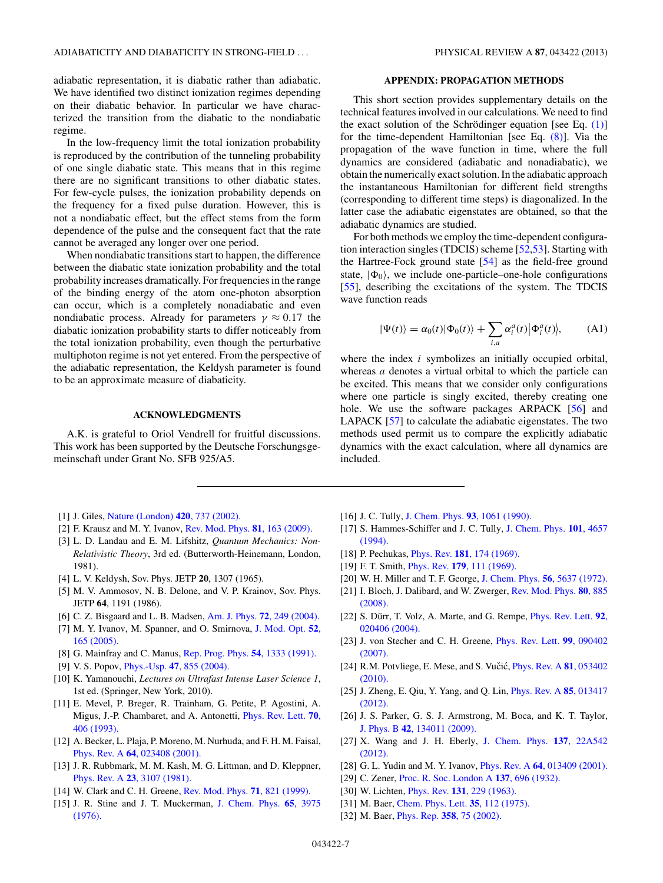<span id="page-6-0"></span>adiabatic representation, it is diabatic rather than adiabatic. We have identified two distinct ionization regimes depending on their diabatic behavior. In particular we have characterized the transition from the diabatic to the nondiabatic regime.

In the low-frequency limit the total ionization probability is reproduced by the contribution of the tunneling probability of one single diabatic state. This means that in this regime there are no significant transitions to other diabatic states. For few-cycle pulses, the ionization probability depends on the frequency for a fixed pulse duration. However, this is not a nondiabatic effect, but the effect stems from the form dependence of the pulse and the consequent fact that the rate cannot be averaged any longer over one period.

When nondiabatic transitions start to happen, the difference between the diabatic state ionization probability and the total probability increases dramatically. For frequencies in the range of the binding energy of the atom one-photon absorption can occur, which is a completely nonadiabatic and even nondiabatic process. Already for parameters  $\gamma \approx 0.17$  the diabatic ionization probability starts to differ noticeably from the total ionization probability, even though the perturbative multiphoton regime is not yet entered. From the perspective of the adiabatic representation, the Keldysh parameter is found to be an approximate measure of diabaticity.

# **ACKNOWLEDGMENTS**

A.K. is grateful to Oriol Vendrell for fruitful discussions. This work has been supported by the Deutsche Forschungsgemeinschaft under Grant No. SFB 925/A5.

- [1] J. Giles, [Nature \(London\)](http://dx.doi.org/10.1038/420737a) **420**, 737 (2002).
- [2] F. Krausz and M. Y. Ivanov, [Rev. Mod. Phys.](http://dx.doi.org/10.1103/RevModPhys.81.163) **81**, 163 (2009).
- [3] L. D. Landau and E. M. Lifshitz, *Quantum Mechanics: Non-Relativistic Theory*, 3rd ed. (Butterworth-Heinemann, London, 1981).
- [4] L. V. Keldysh, Sov. Phys. JETP **20**, 1307 (1965).
- [5] M. V. Ammosov, N. B. Delone, and V. P. Krainov, Sov. Phys. JETP **64**, 1191 (1986).
- [6] C. Z. Bisgaard and L. B. Madsen, Am. J. Phys. **72**[, 249 \(2004\).](http://dx.doi.org/10.1119/1.1603274)
- [7] M. Y. Ivanov, M. Spanner, and O. Smirnova, [J. Mod. Opt.](http://dx.doi.org/10.1080/0950034042000275360) **52**, [165 \(2005\).](http://dx.doi.org/10.1080/0950034042000275360)
- [8] G. Mainfray and C. Manus, [Rep. Prog. Phys.](http://dx.doi.org/10.1088/0034-4885/54/10/002) **54**, 1333 (1991).
- [9] V. S. Popov, Phys.-Usp. **47**[, 855 \(2004\).](http://dx.doi.org/10.1070/PU2004v047n09ABEH001812)
- [10] K. Yamanouchi, *Lectures on Ultrafast Intense Laser Science 1*, 1st ed. (Springer, New York, 2010).
- [11] E. Mevel, P. Breger, R. Trainham, G. Petite, P. Agostini, A. Migus, J.-P. Chambaret, and A. Antonetti, [Phys. Rev. Lett.](http://dx.doi.org/10.1103/PhysRevLett.70.406) **70**, [406 \(1993\).](http://dx.doi.org/10.1103/PhysRevLett.70.406)
- [12] A. Becker, L. Plaja, P. Moreno, M. Nurhuda, and F. H. M. Faisal, Phys. Rev. A **64**[, 023408 \(2001\).](http://dx.doi.org/10.1103/PhysRevA.64.023408)
- [13] J. R. Rubbmark, M. M. Kash, M. G. Littman, and D. Kleppner, Phys. Rev. A **23**[, 3107 \(1981\).](http://dx.doi.org/10.1103/PhysRevA.23.3107)
- [14] W. Clark and C. H. Greene, [Rev. Mod. Phys.](http://dx.doi.org/10.1103/RevModPhys.71.821) **71**, 821 (1999).
- [15] J. R. Stine and J. T. Muckerman, [J. Chem. Phys.](http://dx.doi.org/10.1063/1.432892) **65**, 3975 [\(1976\).](http://dx.doi.org/10.1063/1.432892)

## **APPENDIX: PROPAGATION METHODS**

This short section provides supplementary details on the technical features involved in our calculations. We need to find the exact solution of the Schrödinger equation [see Eq.  $(1)$ ] for the time-dependent Hamiltonian [see Eq. [\(8\)\]](#page-2-0). Via the propagation of the wave function in time, where the full dynamics are considered (adiabatic and nonadiabatic), we obtain the numerically exact solution. In the adiabatic approach the instantaneous Hamiltonian for different field strengths (corresponding to different time steps) is diagonalized. In the latter case the adiabatic eigenstates are obtained, so that the adiabatic dynamics are studied.

For both methods we employ the time-dependent configuration interaction singles (TDCIS) scheme [\[52,53\]](#page-7-0). Starting with the Hartree-Fock ground state [\[54\]](#page-7-0) as the field-free ground state,  $|\Phi_0\rangle$ , we include one-particle–one-hole configurations [\[55\]](#page-7-0), describing the excitations of the system. The TDCIS wave function reads

$$
|\Psi(t)\rangle = \alpha_0(t)|\Phi_0(t)\rangle + \sum_{i,a} \alpha_i^a(t)|\Phi_i^a(t)\rangle, \quad (A1)
$$

where the index *i* symbolizes an initially occupied orbital, whereas *a* denotes a virtual orbital to which the particle can be excited. This means that we consider only configurations where one particle is singly excited, thereby creating one hole. We use the software packages ARPACK [\[56\]](#page-7-0) and LAPACK [\[57\]](#page-7-0) to calculate the adiabatic eigenstates. The two methods used permit us to compare the explicitly adiabatic dynamics with the exact calculation, where all dynamics are included.

- [16] J. C. Tully, [J. Chem. Phys.](http://dx.doi.org/10.1063/1.459170) **93**, 1061 (1990).
- [17] S. Hammes-Schiffer and J. C. Tully, [J. Chem. Phys.](http://dx.doi.org/10.1063/1.467455) **101**, 4657 [\(1994\).](http://dx.doi.org/10.1063/1.467455)
- [18] P. Pechukas, Phys. Rev. **181**[, 174 \(1969\).](http://dx.doi.org/10.1103/PhysRev.181.174)
- [19] F. T. Smith, Phys. Rev. **179**[, 111 \(1969\).](http://dx.doi.org/10.1103/PhysRev.179.111)
- [20] W. H. Miller and T. F. George, [J. Chem. Phys.](http://dx.doi.org/10.1063/1.1677083) **56**, 5637 (1972).
- [21] I. Bloch, J. Dalibard, and W. Zwerger, [Rev. Mod. Phys.](http://dx.doi.org/10.1103/RevModPhys.80.885) **80**, 885 [\(2008\).](http://dx.doi.org/10.1103/RevModPhys.80.885)
- [22] S. Dürr, T. Volz, A. Marte, and G. Rempe, *[Phys. Rev. Lett.](http://dx.doi.org/10.1103/PhysRevLett.92.020406)* 92, [020406 \(2004\).](http://dx.doi.org/10.1103/PhysRevLett.92.020406)
- [23] J. von Stecher and C. H. Greene, [Phys. Rev. Lett.](http://dx.doi.org/10.1103/PhysRevLett.99.090402) **99**, 090402 [\(2007\).](http://dx.doi.org/10.1103/PhysRevLett.99.090402)
- [24] R.M. Potvliege, E. Mese, and S. Vučić, *[Phys. Rev. A](http://dx.doi.org/10.1103/PhysRevA.81.053402)* 81, 053402 [\(2010\).](http://dx.doi.org/10.1103/PhysRevA.81.053402)
- [25] J. Zheng, E. Qiu, Y. Yang, and Q. Lin, [Phys. Rev. A](http://dx.doi.org/10.1103/PhysRevA.85.013417) **85**, 013417 [\(2012\).](http://dx.doi.org/10.1103/PhysRevA.85.013417)
- [26] J. S. Parker, G. S. J. Armstrong, M. Boca, and K. T. Taylor, J. Phys. B **42**[, 134011 \(2009\).](http://dx.doi.org/10.1088/0953-4075/42/13/134011)
- [27] X. Wang and J. H. Eberly, [J. Chem. Phys.](http://dx.doi.org/10.1063/1.4752079) **137**, 22A542 [\(2012\).](http://dx.doi.org/10.1063/1.4752079)
- [28] G. L. Yudin and M. Y. Ivanov, Phys. Rev. A **64**[, 013409 \(2001\).](http://dx.doi.org/10.1103/PhysRevA.64.013409)
- [29] C. Zener, [Proc. R. Soc. London A](http://dx.doi.org/10.1098/rspa.1932.0165) **137**, 696 (1932).
- [30] W. Lichten, Phys. Rev. **131**[, 229 \(1963\).](http://dx.doi.org/10.1103/PhysRev.131.229)
- [31] M. Baer, [Chem. Phys. Lett.](http://dx.doi.org/10.1016/0009-2614(75)85599-0) **35**, 112 (1975).
- [32] M. Baer, Phys. Rep. **358**[, 75 \(2002\).](http://dx.doi.org/10.1016/S0370-1573(01)00052-7)